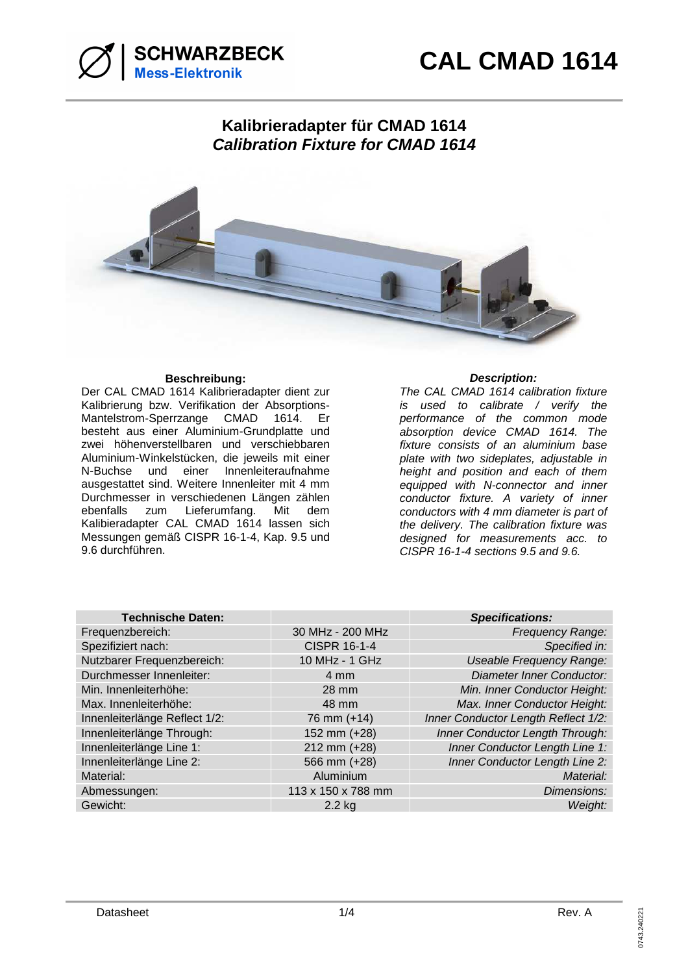

# **Kalibrieradapter für CMAD 1614 Calibration Fixture for CMAD 1614**



## **Beschreibung: Description:**

Der CAL CMAD 1614 Kalibrieradapter dient zur Kalibrierung bzw. Verifikation der Absorptions-Mantelstrom-Sperrzange CMAD 1614. Er besteht aus einer Aluminium-Grundplatte und zwei höhenverstellbaren und verschiebbaren Aluminium-Winkelstücken, die jeweils mit einer N-Buchse und einer Innenleiteraufnahme ausgestattet sind. Weitere Innenleiter mit 4 mm Durchmesser in verschiedenen Längen zählen ebenfalls zum Lieferumfang. Mit dem Kalibieradapter CAL CMAD 1614 lassen sich Messungen gemäß CISPR 16-1-4, Kap. 9.5 und 9.6 durchführen.

The CAL CMAD 1614 calibration fixture is used to calibrate / verify the performance of the common mode absorption device CMAD 1614. The fixture consists of an aluminium base plate with two sideplates, adjustable in height and position and each of them equipped with N-connector and inner conductor fixture. A variety of inner conductors with 4 mm diameter is part of the delivery. The calibration fixture was designed for measurements acc. to CISPR 16-1-4 sections 9.5 and 9.6.

| <b>Technische Daten:</b>      |                     | <b>Specifications:</b>              |
|-------------------------------|---------------------|-------------------------------------|
| Frequenzbereich:              | 30 MHz - 200 MHz    | <b>Frequency Range:</b>             |
| Spezifiziert nach:            | <b>CISPR 16-1-4</b> | Specified in:                       |
| Nutzbarer Frequenzbereich:    | 10 MHz - 1 GHz      | <b>Useable Frequency Range:</b>     |
| Durchmesser Innenleiter:      | 4 mm                | <b>Diameter Inner Conductor:</b>    |
| Min. Innenleiterhöhe:         | 28 mm               | Min. Inner Conductor Height:        |
| Max. Innenleiterhöhe:         | 48 mm               | Max. Inner Conductor Height:        |
| Innenleiterlänge Reflect 1/2: | 76 mm (+14)         | Inner Conductor Length Reflect 1/2: |
| Innenleiterlänge Through:     | 152 mm (+28)        | Inner Conductor Length Through:     |
| Innenleiterlänge Line 1:      | 212 mm (+28)        | Inner Conductor Length Line 1:      |
| Innenleiterlänge Line 2:      | 566 mm (+28)        | Inner Conductor Length Line 2:      |
| Material:                     | Aluminium           | Material:                           |
| Abmessungen:                  | 113 x 150 x 788 mm  | Dimensions:                         |
| Gewicht:                      | $2.2$ kg            | Weight:                             |
|                               |                     |                                     |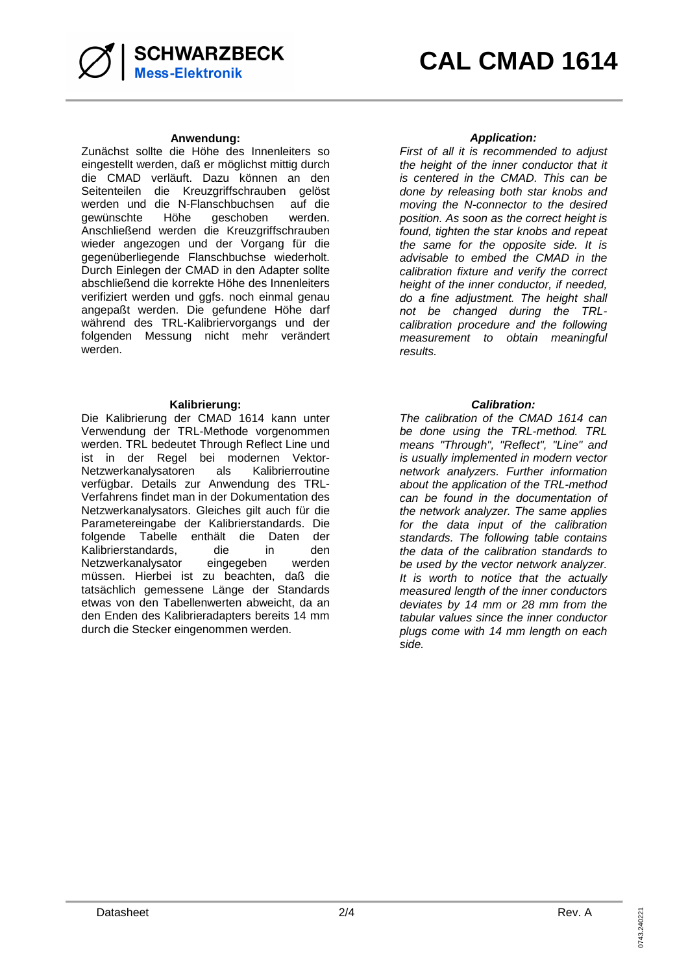

### **Anwendung: Application:**

Zunächst sollte die Höhe des Innenleiters so eingestellt werden, daß er möglichst mittig durch die CMAD verläuft. Dazu können an den Seitenteilen die Kreuzgriffschrauben gelöst werden und die N-Flanschbuchsen auf die gewünschte Höhe geschoben werden. Anschließend werden die Kreuzgriffschrauben wieder angezogen und der Vorgang für die gegenüberliegende Flanschbuchse wiederholt. Durch Einlegen der CMAD in den Adapter sollte abschließend die korrekte Höhe des Innenleiters verifiziert werden und ggfs. noch einmal genau angepaßt werden. Die gefundene Höhe darf während des TRL-Kalibriervorgangs und der folgenden Messung nicht mehr verändert werden.

### **Kalibrierung: Calibration:**

Die Kalibrierung der CMAD 1614 kann unter Verwendung der TRL-Methode vorgenommen werden. TRL bedeutet Through Reflect Line und ist in der Regel bei modernen Vektor-Netzwerkanalysatoren als Kalibrierroutine verfügbar. Details zur Anwendung des TRL-Verfahrens findet man in der Dokumentation des Netzwerkanalysators. Gleiches gilt auch für die Parametereingabe der Kalibrierstandards. Die folgende Tabelle enthält die Daten der<br>Kalibrierstandards, die in den Kalibrierstandards, die Netzwerkanalysator eingegeben werden müssen. Hierbei ist zu beachten, daß die tatsächlich gemessene Länge der Standards etwas von den Tabellenwerten abweicht, da an den Enden des Kalibrieradapters bereits 14 mm durch die Stecker eingenommen werden.

First of all it is recommended to adjust the height of the inner conductor that it is centered in the CMAD. This can be done by releasing both star knobs and moving the N-connector to the desired position. As soon as the correct height is found, tighten the star knobs and repeat the same for the opposite side. It is advisable to embed the CMAD in the calibration fixture and verify the correct height of the inner conductor, if needed, do a fine adjustment. The height shall not be changed during the TRLcalibration procedure and the following measurement to obtain meaningful results.

The calibration of the CMAD 1614 can be done using the TRL-method. TRL means "Through", "Reflect", "Line" and is usually implemented in modern vector network analyzers. Further information about the application of the TRL-method can be found in the documentation of the network analyzer. The same applies for the data input of the calibration standards. The following table contains the data of the calibration standards to be used by the vector network analyzer. It is worth to notice that the actually measured length of the inner conductors deviates by 14 mm or 28 mm from the tabular values since the inner conductor plugs come with 14 mm length on each side.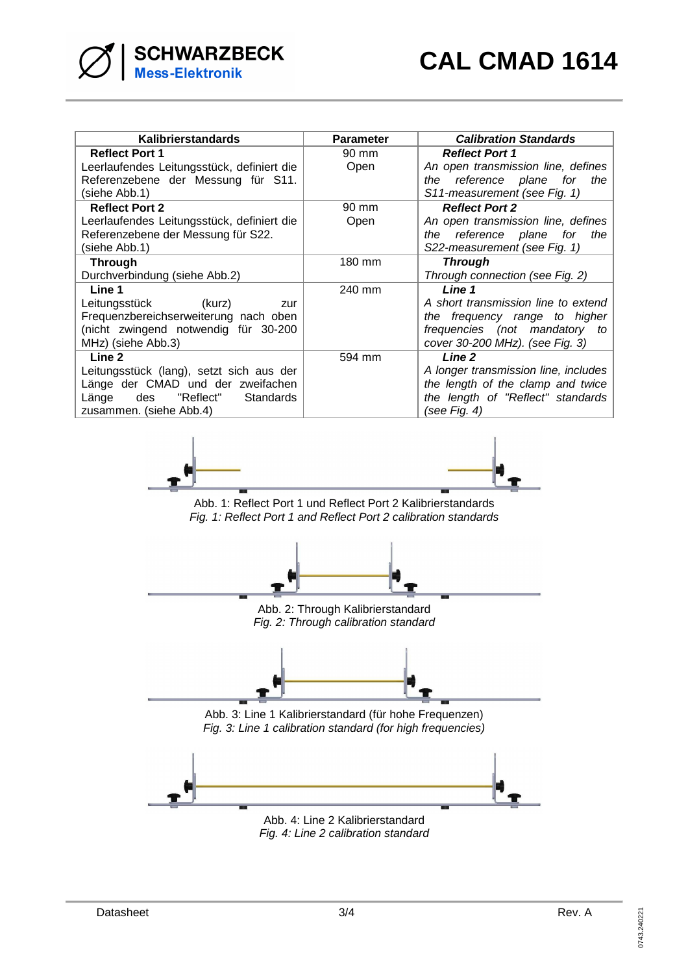| Kalibrierstandards                         | <b>Parameter</b> | <b>Calibration Standards</b>         |
|--------------------------------------------|------------------|--------------------------------------|
| <b>Reflect Port 1</b>                      | 90 mm            | <b>Reflect Port 1</b>                |
| Leerlaufendes Leitungsstück, definiert die | Open             | An open transmission line, defines   |
| Referenzebene der Messung für S11.         |                  | the reference plane<br>for<br>the    |
| (siehe Abb.1)                              |                  | S11-measurement (see Fig. 1)         |
| <b>Reflect Port 2</b>                      | 90 mm            | <b>Reflect Port 2</b>                |
| Leerlaufendes Leitungsstück, definiert die | Open             | An open transmission line, defines   |
| Referenzebene der Messung für S22.         |                  | the reference plane<br>for<br>the    |
| (siehe Abb.1)                              |                  | S22-measurement (see Fig. 1)         |
| <b>Through</b>                             | 180 mm           | Through                              |
| Durchverbindung (siehe Abb.2)              |                  | Through connection (see Fig. 2)      |
| Line 1                                     | 240 mm           | Line 1                               |
| Leitungsstück<br>(kurz)<br>zur             |                  | A short transmission line to extend  |
| Frequenzbereichserweiterung nach oben      |                  | the frequency range to higher        |
| (nicht zwingend notwendig für 30-200       |                  | frequencies (not mandatory to        |
| MHz) (siehe Abb.3)                         |                  | cover 30-200 MHz). (see Fig. 3)      |
| Line 2                                     | 594 mm           | Line 2                               |
| Leitungsstück (lang), setzt sich aus der   |                  | A longer transmission line, includes |
| Länge der CMAD und der zweifachen          |                  | the length of the clamp and twice    |
| "Reflect" Standards<br>Länge<br>des        |                  | the length of "Reflect" standards    |
| zusammen. (siehe Abb.4)                    |                  | (see Fig. 4)                         |



Abb. 1: Reflect Port 1 und Reflect Port 2 Kalibrierstandards Fig. 1: Reflect Port 1 and Reflect Port 2 calibration standards